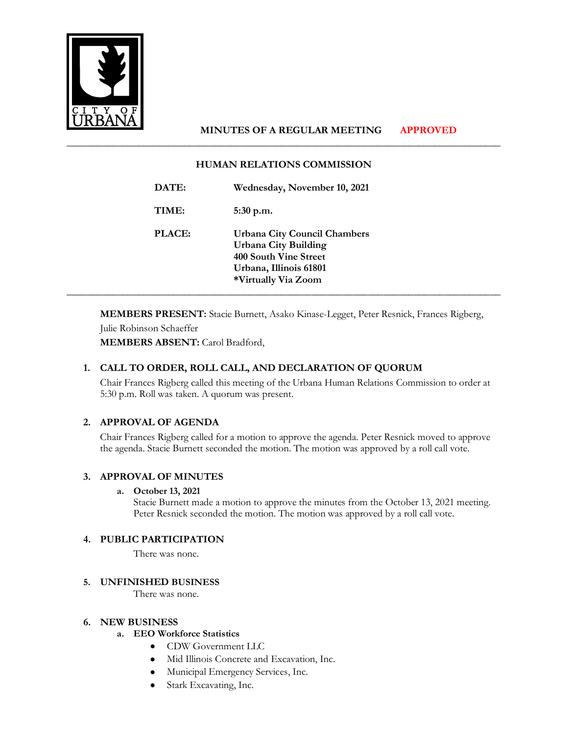

# **MINUTES OF A REGULAR MEETING APPROVED**

## **HUMAN RELATIONS COMMISSION**

\_\_\_\_\_\_\_\_\_\_\_\_\_\_\_\_\_\_\_\_\_\_\_\_\_\_\_\_\_\_\_\_\_\_\_\_\_\_\_\_\_\_\_\_\_\_\_\_\_\_\_\_\_\_\_\_\_\_\_\_\_\_\_\_\_\_\_\_\_\_\_\_\_\_\_\_\_\_\_\_\_\_\_\_\_

| DATE:         | Wednesday, November 10, 2021                                                                                                                        |
|---------------|-----------------------------------------------------------------------------------------------------------------------------------------------------|
| TIME:         | $5:30$ p.m.                                                                                                                                         |
| <b>PLACE:</b> | <b>Urbana City Council Chambers</b><br><b>Urbana City Building</b><br><b>400 South Vine Street</b><br>Urbana, Illinois 61801<br>*Virtually Via Zoom |

**MEMBERS PRESENT:** Stacie Burnett, Asako Kinase-Legget, Peter Resnick, Frances Rigberg,

Julie Robinson Schaeffer **MEMBERS ABSENT:** Carol Bradford,

## **1. CALL TO ORDER, ROLL CALL, AND DECLARATION OF QUORUM**

Chair Frances Rigberg called this meeting of the Urbana Human Relations Commission to order at 5:30 p.m. Roll was taken. A quorum was present.

## **2. APPROVAL OF AGENDA**

Chair Frances Rigberg called for a motion to approve the agenda. Peter Resnick moved to approve the agenda. Stacie Burnett seconded the motion. The motion was approved by a roll call vote.

## **3. APPROVAL OF MINUTES**

## **a. October 13, 2021**

Stacie Burnett made a motion to approve the minutes from the October 13, 2021 meeting. Peter Resnick seconded the motion. The motion was approved by a roll call vote.

## **4. PUBLIC PARTICIPATION**

There was none.

## **5. UNFINISHED BUSINESS**

There was none.

#### **6. NEW BUSINESS**

## **a. EEO Workforce Statistics**

- CDW Government LLC
- Mid Illinois Concrete and Excavation, Inc.
- Municipal Emergency Services, Inc.
- Stark Excavating, Inc.